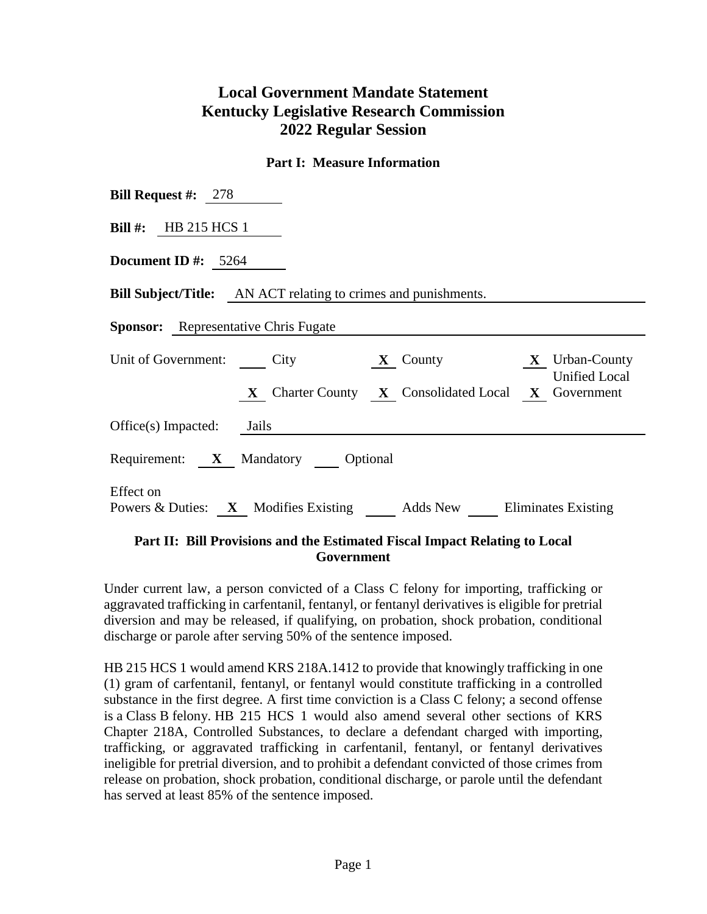## **Local Government Mandate Statement Kentucky Legislative Research Commission 2022 Regular Session**

## **Part I: Measure Information**

| <b>Bill Request #:</b> $278$                                                                                                          |  |  |  |  |  |  |
|---------------------------------------------------------------------------------------------------------------------------------------|--|--|--|--|--|--|
| Bill #: HB 215 HCS 1                                                                                                                  |  |  |  |  |  |  |
| Document ID #: $5264$                                                                                                                 |  |  |  |  |  |  |
| <b>Bill Subject/Title:</b> AN ACT relating to crimes and punishments.                                                                 |  |  |  |  |  |  |
| <b>Sponsor:</b> Representative Chris Fugate                                                                                           |  |  |  |  |  |  |
| Unit of Government: City<br>$X$ County $X$ Urban-County<br><b>Unified Local</b><br>X Charter County X Consolidated Local X Government |  |  |  |  |  |  |
| $Office(s)$ Impacted: Jails                                                                                                           |  |  |  |  |  |  |
| Requirement: X Mandatory Optional                                                                                                     |  |  |  |  |  |  |
| Effect on<br>Powers & Duties: X Modifies Existing Adds New Eliminates Existing                                                        |  |  |  |  |  |  |

## **Part II: Bill Provisions and the Estimated Fiscal Impact Relating to Local Government**

Under current law, a person convicted of a Class C felony for importing, trafficking or aggravated trafficking in carfentanil, fentanyl, or fentanyl derivatives is eligible for pretrial diversion and may be released, if qualifying, on probation, shock probation, conditional discharge or parole after serving 50% of the sentence imposed.

HB 215 HCS 1 would amend KRS 218A.1412 to provide that knowingly trafficking in one (1) gram of carfentanil, fentanyl, or fentanyl would constitute trafficking in a controlled substance in the first degree. A first time conviction is a Class C felony; a second offense is a Class B felony. HB 215 HCS 1 would also amend several other sections of KRS Chapter 218A, Controlled Substances, to declare a defendant charged with importing, trafficking, or aggravated trafficking in carfentanil, fentanyl, or fentanyl derivatives ineligible for pretrial diversion, and to prohibit a defendant convicted of those crimes from release on probation, shock probation, conditional discharge, or parole until the defendant has served at least 85% of the sentence imposed.